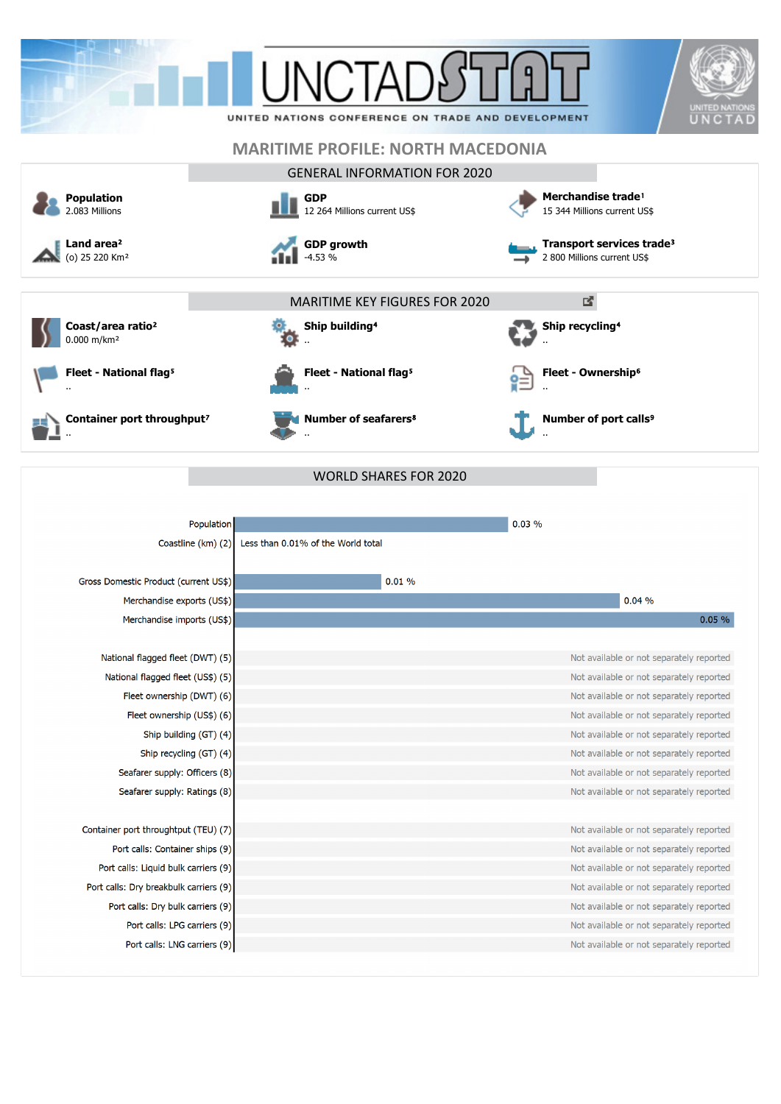|                                                                | <b>UNCTAF</b><br>UNITED NATIONS CONFERENCE ON TRADE AND DEVELOPMENT | UNITED NATIO<br>UNCTAD                                                               |  |  |  |  |
|----------------------------------------------------------------|---------------------------------------------------------------------|--------------------------------------------------------------------------------------|--|--|--|--|
|                                                                | <b>MARITIME PROFILE: NORTH MACEDONIA</b>                            |                                                                                      |  |  |  |  |
|                                                                | <b>GENERAL INFORMATION FOR 2020</b>                                 |                                                                                      |  |  |  |  |
| <b>Population</b><br>2.083 Millions                            | <b>GDP</b><br>12 264 Millions current US\$                          | Merchandise trade <sup>1</sup><br>15 344 Millions current US\$                       |  |  |  |  |
| Land area <sup>2</sup><br>(o) 25 220 Km <sup>2</sup>           | <b>GDP growth</b><br>$-4.53%$                                       | Transport services trade <sup>3</sup><br>2 800 Millions current US\$                 |  |  |  |  |
|                                                                | <b>MARITIME KEY FIGURES FOR 2020</b>                                | 國                                                                                    |  |  |  |  |
| Coast/area ratio <sup>2</sup><br>0.000 m/km <sup>2</sup>       | Ship building <sup>4</sup>                                          | Ship recycling <sup>4</sup>                                                          |  |  |  |  |
| Fleet - National flag <sup>5</sup>                             | Fleet - National flag <sup>5</sup>                                  | Fleet - Ownership <sup>6</sup>                                                       |  |  |  |  |
| Container port throughput <sup>7</sup>                         | <b>Number of seafarers<sup>8</sup></b>                              | Number of port calls <sup>9</sup>                                                    |  |  |  |  |
|                                                                |                                                                     |                                                                                      |  |  |  |  |
|                                                                | <b>WORLD SHARES FOR 2020</b>                                        |                                                                                      |  |  |  |  |
|                                                                |                                                                     |                                                                                      |  |  |  |  |
| Population                                                     |                                                                     | 0.03%                                                                                |  |  |  |  |
|                                                                | Coastline (km) (2) Less than 0.01% of the World total               |                                                                                      |  |  |  |  |
|                                                                |                                                                     |                                                                                      |  |  |  |  |
| Gross Domestic Product (current US\$)                          | 0.01%                                                               |                                                                                      |  |  |  |  |
| Merchandise exports (US\$)                                     |                                                                     | 0.04%                                                                                |  |  |  |  |
| Merchandise imports (US\$)                                     |                                                                     | 0.05%                                                                                |  |  |  |  |
|                                                                |                                                                     |                                                                                      |  |  |  |  |
| National flagged fleet (DWT) (5)                               |                                                                     | Not available or not separately reported                                             |  |  |  |  |
| National flagged fleet (US\$) (5)<br>Fleet ownership (DWT) (6) |                                                                     | Not available or not separately reported<br>Not available or not separately reported |  |  |  |  |
| Fleet ownership (US\$) (6)                                     |                                                                     | Not available or not separately reported                                             |  |  |  |  |
| Ship building (GT) (4)                                         |                                                                     | Not available or not separately reported                                             |  |  |  |  |
| Ship recycling (GT) (4)                                        |                                                                     | Not available or not separately reported                                             |  |  |  |  |
| Seafarer supply: Officers (8)                                  |                                                                     | Not available or not separately reported                                             |  |  |  |  |

Container port throughtput (TEU) (7) Port calls: Container ships (9) Port calls: Liquid bulk carriers (9) Port calls: Dry breakbulk carriers (9) Port calls: Dry bulk carriers (9) Port calls: LPG carriers (9) Port calls: LNG carriers (9) Not available or not separately reported Not available or not separately reported Not available or not separately reported Not available or not separately reported Not available or not separately reported Not available or not separately reported Not available or not separately reported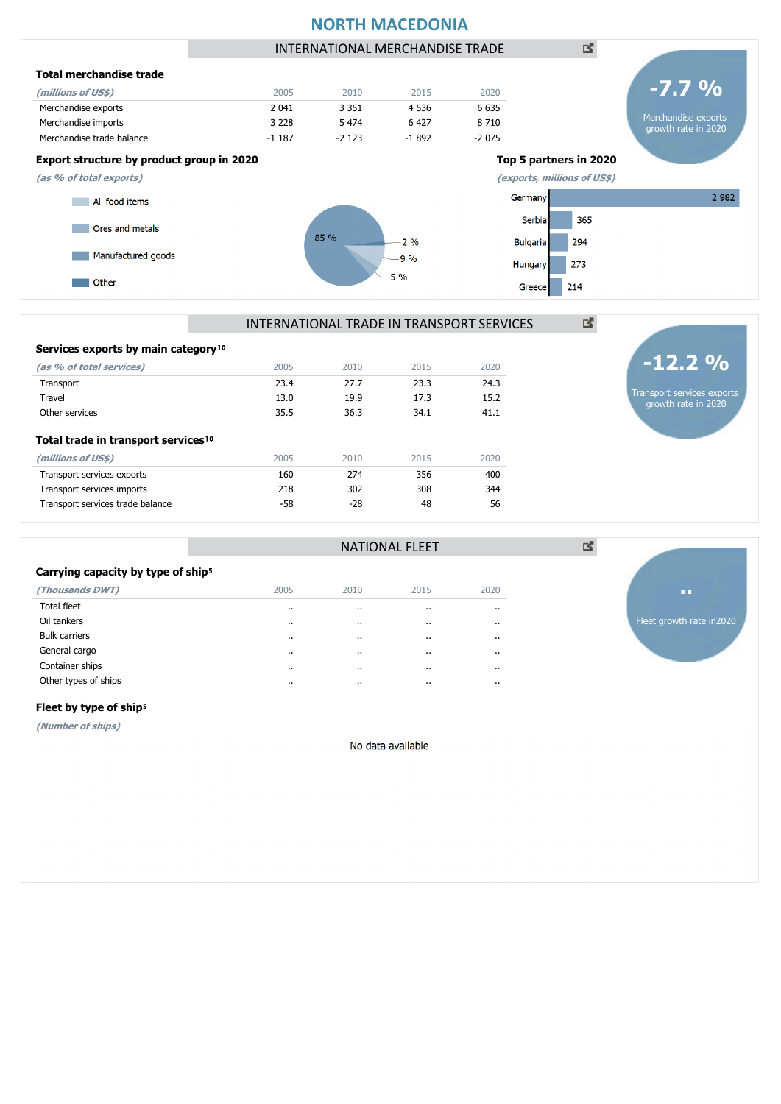# **NORTH MACEDONIA**



# INTERNATIONAL TRADE IN TRANSPORT SERVICES

| Services exports by main category <sup>10</sup> |      |       |      |      |
|-------------------------------------------------|------|-------|------|------|
| (as % of total services)                        | 2005 | 2010  | 2015 | 2020 |
| Transport                                       | 23.4 | 27.7  | 23.3 | 24.3 |
| Travel                                          | 13.0 | 19.9  | 17.3 | 15.2 |
| Other services                                  | 35.5 | 36.3  | 34.1 | 41.1 |
| Total trade in transport services <sup>10</sup> |      |       |      |      |
| (millions of US\$)                              | 2005 | 2010  | 2015 | 2020 |
| Transport services exports                      | 160  | 274   | 356  | 400  |
| Transport services imports                      | 218  | 302   | 308  | 344  |
| Transport services trade balance                | -58  | $-28$ | 48   | 56   |
|                                                 |      |       |      |      |

## **Carrying capacity by type of ship**<sup>5</sup>

| (Thousands DWT)      | 2005    | 2010      | 2015     | 2020      |
|----------------------|---------|-----------|----------|-----------|
| <b>Total fleet</b>   |         | $\cdot$ . | $\cdots$ | $\cdot$   |
| Oil tankers          | $\cdot$ | $\cdot$ . | $\cdots$ | $\cdots$  |
| <b>Bulk carriers</b> | $\cdot$ | $\cdot$ . | $\cdots$ | $\cdot$   |
| General cargo        | $\cdot$ | $\cdot$ . | $\cdots$ | $\cdot$ . |
| Container ships      |         | $\cdot$ . | $\cdots$ | $\cdot$   |
| Other types of ships |         | $\cdot$ . | $\cdots$ | $\cdot$   |
|                      |         |           |          |           |



Transport services exports growth rate in 2020

**-12.2 %**

國

図

## Fleet by type of ship<sup>5</sup>

**(Number of ships)**

No data available

NATIONAL FLEET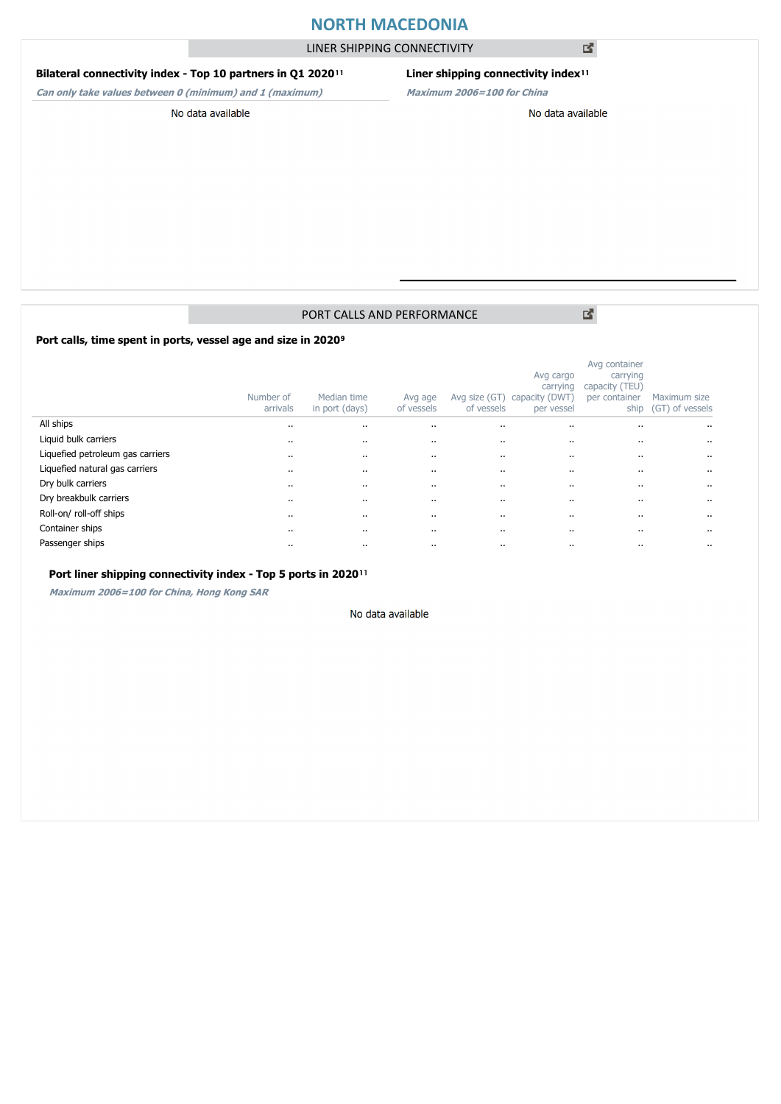# **NORTH MACEDONIA**

LINER SHIPPING CONNECTIVITY

## **Bilateral connectivity index - Top 10 partners in Q1 2020**<sup>11</sup>

**Can only take values between 0 (minimum) and 1 (maximum)**

## Liner shipping connectivity index<sup>11</sup>

**Maximum 2006=100 for China**

#### No data available

## No data available

# PORT CALLS AND PERFORMANCE

Port calls, time spent in ports, vessel age and size in 2020<sup>9</sup>

|                                  | Number of<br>arrivals | Median time<br>in port (days) | Avg age<br>of vessels | Avg size (GT)<br>of vessels | Avg cargo<br>carrying<br>capacity (DWT)<br>per vessel | Avg container<br>carrying<br>capacity (TEU)<br>per container<br>ship | Maximum size<br>(GT) of vessels |
|----------------------------------|-----------------------|-------------------------------|-----------------------|-----------------------------|-------------------------------------------------------|----------------------------------------------------------------------|---------------------------------|
| All ships                        | $\cdots$              | $\cdots$                      | $\cdot$ .             | $\ddotsc$                   | $\ddotsc$                                             | $\cdots$                                                             | $\cdots$                        |
| Liquid bulk carriers             | $\cdots$              | $\cdots$                      | $\cdots$              |                             |                                                       | $\cdots$                                                             | $\cdots$                        |
| Liquefied petroleum gas carriers | $\cdots$              | $\cdots$                      | $\cdots$              |                             |                                                       |                                                                      | $\ddotsc$                       |
| Liquefied natural gas carriers   | $\cdots$              | $\cdots$                      | $\cdots$              |                             |                                                       | $\cdots$                                                             | $\cdots$                        |
| Dry bulk carriers                | $\cdots$              | $\cdots$                      | $\cdot$ .             |                             | $\ddotsc$                                             | $\cdot$ .                                                            | $\ddotsc$                       |
| Dry breakbulk carriers           | $\cdots$              |                               | $\cdots$              |                             |                                                       | $\cdots$                                                             | $\cdots$                        |
| Roll-on/roll-off ships           | $\cdot$ .             | $\cdots$                      | $\cdot$ .             |                             | $\ddotsc$                                             | $\cdots$                                                             | $\ddotsc$                       |
| Container ships                  | $\cdots$              |                               | $\cdots$              |                             |                                                       | $\cdots$                                                             | $\cdots$                        |
| Passenger ships                  | $\cdot$ .             | $\cdots$                      | $\ddot{\phantom{0}}$  | $\cdots$                    | $\ddot{\phantom{0}}$                                  |                                                                      | $\ddot{\phantom{a}}$            |

## Port liner shipping connectivity index - Top 5 ports in 2020<sup>11</sup>

**Maximum 2006=100 for China, Hong Kong SAR**

#### No data available

図

図